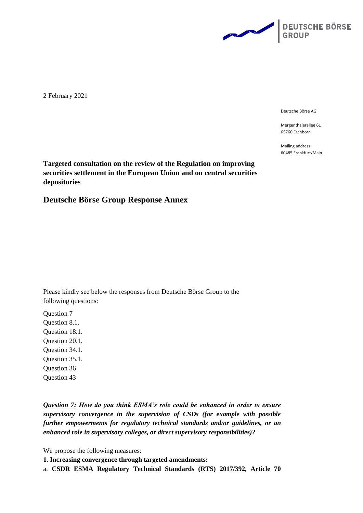

2 February 2021

Deutsche Börse AG

Mergenthalerallee 61 65760 Eschborn

Mailing address 60485 Frankfurt/Main

**Targeted consultation on the review of the Regulation on improving securities settlement in the European Union and on central securities depositories**

**Deutsche Börse Group Response Annex**

Please kindly see below the responses from Deutsche Börse Group to the following questions:

Question 7 Question 8.1. Question 18.1. Question 20.1. Question 34.1. Question 35.1. Question 36 Question 43

*Question 7: How do you think ESMA's role could be enhanced in order to ensure supervisory convergence in the supervision of CSDs (for example with possible further empowerments for regulatory technical standards and/or guidelines, or an enhanced role in supervisory colleges, or direct supervisory responsibilities)?*

We propose the following measures:

**1. Increasing convergence through targeted amendments:**

a. **CSDR ESMA Regulatory Technical Standards (RTS) 2017/392, Article 70**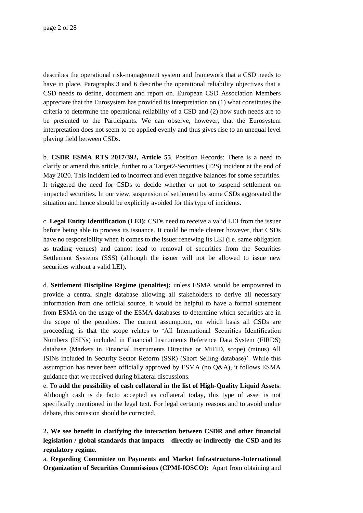describes the operational risk-management system and framework that a CSD needs to have in place. Paragraphs 3 and 6 describe the operational reliability objectives that a CSD needs to define, document and report on. European CSD Association Members appreciate that the Eurosystem has provided its interpretation on (1) what constitutes the criteria to determine the operational reliability of a CSD and (2) how such needs are to be presented to the Participants. We can observe, however, that the Eurosystem interpretation does not seem to be applied evenly and thus gives rise to an unequal level playing field between CSDs.

b. **CSDR ESMA RTS 2017/392, Article 55**, Position Records: There is a need to clarify or amend this article, further to a Target2-Securities (T2S) incident at the end of May 2020. This incident led to incorrect and even negative balances for some securities. It triggered the need for CSDs to decide whether or not to suspend settlement on impacted securities. In our view, suspension of settlement by some CSDs aggravated the situation and hence should be explicitly avoided for this type of incidents.

c. **Legal Entity Identification (LEI):** CSDs need to receive a valid LEI from the issuer before being able to process its issuance. It could be made clearer however, that CSDs have no responsibility when it comes to the issuer renewing its LEI (i.e. same obligation as trading venues) and cannot lead to removal of securities from the Securities Settlement Systems (SSS) (although the issuer will not be allowed to issue new securities without a valid LEI).

d. **Settlement Discipline Regime (penalties):** unless ESMA would be empowered to provide a central single database allowing all stakeholders to derive all necessary information from one official source, it would be helpful to have a formal statement from ESMA on the usage of the ESMA databases to determine which securities are in the scope of the penalties. The current assumption, on which basis all CSDs are proceeding, is that the scope relates to 'All International Securities Identification Numbers (ISINs) included in Financial Instruments Reference Data System (FIRDS) database (Markets in Financial Instruments Directive or MiFID, scope) (minus) All ISINs included in Security Sector Reform (SSR) (Short Selling database)'. While this assumption has never been officially approved by ESMA (no Q&A), it follows ESMA guidance that we received during bilateral discussions.

e. To **add the possibility of cash collateral in the list of High-Quality Liquid Assets**: Although cash is de facto accepted as collateral today, this type of asset is not specifically mentioned in the legal text. For legal certainty reasons and to avoid undue debate, this omission should be corrected.

**2. We see benefit in clarifying the interaction between CSDR and other financial legislation / global standards that impacts—directly or indirectly–the CSD and its regulatory regime.**

a. **Regarding Committee on Payments and Market Infrastructures-International Organization of Securities Commissions (CPMI-IOSCO):** Apart from obtaining and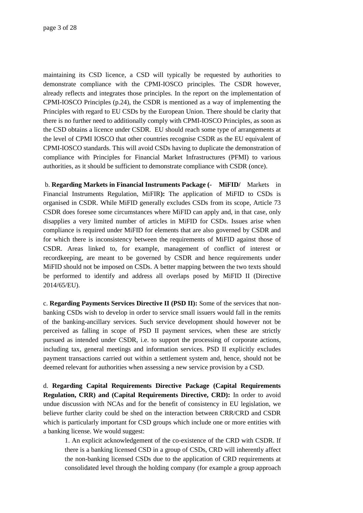maintaining its CSD licence, a CSD will typically be requested by authorities to demonstrate compliance with the CPMI-IOSCO principles. The CSDR however, already reflects and integrates those principles. In the report on the implementation of CPMI-IOSCO Principles (p.24), the CSDR is mentioned as a way of implementing the Principles with regard to EU CSDs by the European Union. There should be clarity that there is no further need to additionally comply with CPMI-IOSCO Principles, as soon as the CSD obtains a licence under CSDR. EU should reach some type of arrangements at the level of CPMI IOSCO that other countries recognise CSDR as the EU equivalent of CPMI-IOSCO standards. This will avoid CSDs having to duplicate the demonstration of compliance with Principles for Financial Market Infrastructures (PFMI) to various authorities, as it should be sufficient to demonstrate compliance with CSDR (once).

b. **Regarding Markets in Financial Instruments Package (- MiFID/** Markets in Financial Instruments Regulation, MiFIR**):** The application of MiFID to CSDs is organised in CSDR. While MiFID generally excludes CSDs from its scope, Article 73 CSDR does foresee some circumstances where MiFID can apply and, in that case, only disapplies a very limited number of articles in MiFID for CSDs. Issues arise when compliance is required under MiFID for elements that are also governed by CSDR and for which there is inconsistency between the requirements of MiFID against those of CSDR. Areas linked to, for example, management of conflict of interest or recordkeeping, are meant to be governed by CSDR and hence requirements under MiFID should not be imposed on CSDs. A better mapping between the two texts should be performed to identify and address all overlaps posed by MiFID II (Directive 2014/65/EU).

c. **Regarding Payments Services Directive II (PSD II):** Some of the services that nonbanking CSDs wish to develop in order to service small issuers would fall in the remits of the banking-ancillary services. Such service development should however not be perceived as falling in scope of PSD II payment services, when these are strictly pursued as intended under CSDR, i.e. to support the processing of corporate actions, including tax, general meetings and information services. PSD II explicitly excludes payment transactions carried out within a settlement system and, hence, should not be deemed relevant for authorities when assessing a new service provision by a CSD.

d. **Regarding Capital Requirements Directive Package (Capital Requirements Regulation, CRR) and (Capital Requirements Directive, CRD):** In order to avoid undue discussion with NCAs and for the benefit of consistency in EU legislation, we believe further clarity could be shed on the interaction between CRR/CRD and CSDR which is particularly important for CSD groups which include one or more entities with a banking license. We would suggest:

1. An explicit acknowledgement of the co-existence of the CRD with CSDR. If there is a banking licensed CSD in a group of CSDs, CRD will inherently affect the non-banking licensed CSDs due to the application of CRD requirements at consolidated level through the holding company (for example a group approach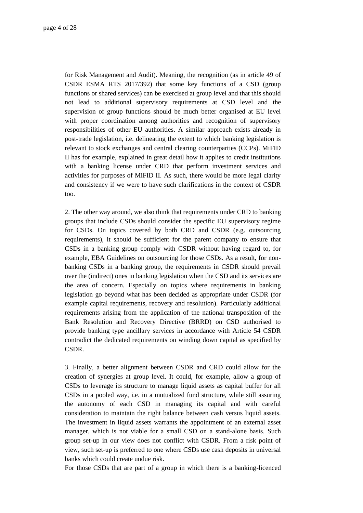for Risk Management and Audit). Meaning, the recognition (as in article 49 of CSDR ESMA RTS 2017/392) that some key functions of a CSD (group functions or shared services) can be exercised at group level and that this should not lead to additional supervisory requirements at CSD level and the supervision of group functions should be much better organised at EU level with proper coordination among authorities and recognition of supervisory responsibilities of other EU authorities. A similar approach exists already in post-trade legislation, i.e. delineating the extent to which banking legislation is relevant to stock exchanges and central clearing counterparties (CCPs). MiFID II has for example, explained in great detail how it applies to credit institutions with a banking license under CRD that perform investment services and activities for purposes of MiFID II. As such, there would be more legal clarity and consistency if we were to have such clarifications in the context of CSDR too.

2. The other way around, we also think that requirements under CRD to banking groups that include CSDs should consider the specific EU supervisory regime for CSDs. On topics covered by both CRD and CSDR (e.g. outsourcing requirements), it should be sufficient for the parent company to ensure that CSDs in a banking group comply with CSDR without having regard to, for example, EBA Guidelines on outsourcing for those CSDs. As a result, for nonbanking CSDs in a banking group, the requirements in CSDR should prevail over the (indirect) ones in banking legislation when the CSD and its services are the area of concern. Especially on topics where requirements in banking legislation go beyond what has been decided as appropriate under CSDR (for example capital requirements, recovery and resolution). Particularly additional requirements arising from the application of the national transposition of the Bank Resolution and Recovery Directive (BRRD) on CSD authorised to provide banking type ancillary services in accordance with Article 54 CSDR contradict the dedicated requirements on winding down capital as specified by CSDR.

3. Finally, a better alignment between CSDR and CRD could allow for the creation of synergies at group level. It could, for example, allow a group of CSDs to leverage its structure to manage liquid assets as capital buffer for all CSDs in a pooled way, i.e. in a mutualized fund structure, while still assuring the autonomy of each CSD in managing its capital and with careful consideration to maintain the right balance between cash versus liquid assets. The investment in liquid assets warrants the appointment of an external asset manager, which is not viable for a small CSD on a stand-alone basis. Such group set-up in our view does not conflict with CSDR. From a risk point of view, such set-up is preferred to one where CSDs use cash deposits in universal banks which could create undue risk.

For those CSDs that are part of a group in which there is a banking-licenced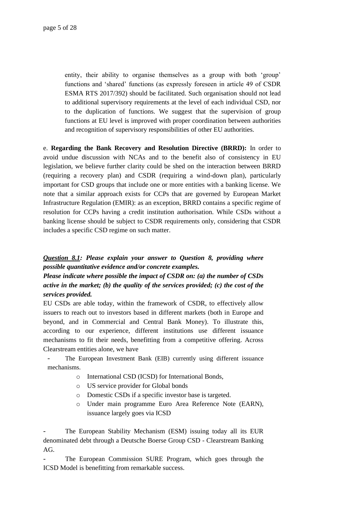entity, their ability to organise themselves as a group with both 'group' functions and 'shared' functions (as expressly foreseen in article 49 of CSDR ESMA RTS 2017/392) should be facilitated. Such organisation should not lead to additional supervisory requirements at the level of each individual CSD, nor to the duplication of functions. We suggest that the supervision of group functions at EU level is improved with proper coordination between authorities and recognition of supervisory responsibilities of other EU authorities.

e. **Regarding the Bank Recovery and Resolution Directive (BRRD):** In order to avoid undue discussion with NCAs and to the benefit also of consistency in EU legislation, we believe further clarity could be shed on the interaction between BRRD (requiring a recovery plan) and CSDR (requiring a wind-down plan), particularly important for CSD groups that include one or more entities with a banking license. We note that a similar approach exists for CCPs that are governed by European Market Infrastructure Regulation (EMIR): as an exception, BRRD contains a specific regime of resolution for CCPs having a credit institution authorisation. While CSDs without a banking license should be subject to CSDR requirements only, considering that CSDR includes a specific CSD regime on such matter.

# *Question 8.1: Please explain your answer to Question 8, providing where possible quantitative evidence and/or concrete examples.*

*Please indicate where possible the impact of CSDR on: (a) the number of CSDs active in the market; (b) the quality of the services provided; (c) the cost of the services provided.*

EU CSDs are able today, within the framework of CSDR, to effectively allow issuers to reach out to investors based in different markets (both in Europe and beyond, and in Commercial and Central Bank Money). To illustrate this, according to our experience, different institutions use different issuance mechanisms to fit their needs, benefitting from a competitive offering. Across Clearstream entities alone, we have

- The European Investment Bank (EIB) currently using different issuance mechanisms.
	- o International CSD (ICSD) for International Bonds,
	- o US service provider for Global bonds
	- o Domestic CSDs if a specific investor base is targeted.
	- o Under main programme Euro Area Reference Note (EARN), issuance largely goes via ICSD

The European Stability Mechanism (ESM) issuing today all its EUR denominated debt through a Deutsche Boerse Group CSD - Clearstream Banking  $AG.$ 

The European Commission SURE Program, which goes through the ICSD Model is benefitting from remarkable success.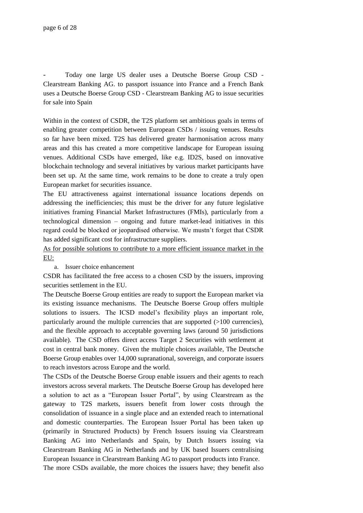- Today one large US dealer uses a Deutsche Boerse Group CSD - Clearstream Banking AG. to passport issuance into France and a French Bank uses a Deutsche Boerse Group CSD - Clearstream Banking AG to issue securities for sale into Spain

Within in the context of CSDR, the T2S platform set ambitious goals in terms of enabling greater competition between European CSDs / issuing venues. Results so far have been mixed. T2S has delivered greater harmonisation across many areas and this has created a more competitive landscape for European issuing venues. Additional CSDs have emerged, like e.g. ID2S, based on innovative blockchain technology and several initiatives by various market participants have been set up. At the same time, work remains to be done to create a truly open European market for securities issuance.

The EU attractiveness against international issuance locations depends on addressing the inefficiencies; this must be the driver for any future legislative initiatives framing Financial Market Infrastructures (FMIs), particularly from a technological dimension – ongoing and future market-lead initiatives in this regard could be blocked or jeopardised otherwise. We mustn't forget that CSDR has added significant cost for infrastructure suppliers.

As for possible solutions to contribute to a more efficient issuance market in the EU:

a. Issuer choice enhancement

CSDR has facilitated the free access to a chosen CSD by the issuers, improving securities settlement in the EU.

The Deutsche Boerse Group entities are ready to support the European market via its existing issuance mechanisms. The Deutsche Boerse Group offers multiple solutions to issuers. The ICSD model's flexibility plays an important role, particularly around the multiple currencies that are supported  $(>100$  currencies), and the flexible approach to acceptable governing laws (around 50 jurisdictions available). The CSD offers direct access Target 2 Securities with settlement at cost in central bank money. Given the multiple choices available, The Deutsche Boerse Group enables over 14,000 supranational, sovereign, and corporate issuers to reach investors across Europe and the world.

The CSDs of the Deutsche Boerse Group enable issuers and their agents to reach investors across several markets. The Deutsche Boerse Group has developed here a solution to act as a "European Issuer Portal", by using Clearstream as the gateway to T2S markets, issuers benefit from lower costs through the consolidation of issuance in a single place and an extended reach to international and domestic counterparties. The European Issuer Portal has been taken up (primarily in Structured Products) by French Issuers issuing via Clearstream Banking AG into Netherlands and Spain, by Dutch Issuers issuing via Clearstream Banking AG in Netherlands and by UK based Issuers centralising European Issuance in Clearstream Banking AG to passport products into France. The more CSDs available, the more choices the issuers have; they benefit also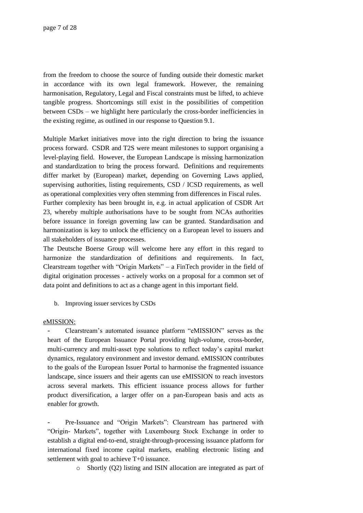from the freedom to choose the source of funding outside their domestic market in accordance with its own legal framework. However, the remaining harmonisation, Regulatory, Legal and Fiscal constraints must be lifted, to achieve tangible progress. Shortcomings still exist in the possibilities of competition between CSDs – we highlight here particularly the cross-border inefficiencies in the existing regime, as outlined in our response to Question 9.1.

Multiple Market initiatives move into the right direction to bring the issuance process forward. CSDR and T2S were meant milestones to support organising a level-playing field. However, the European Landscape is missing harmonization and standardization to bring the process forward. Definitions and requirements differ market by (European) market, depending on Governing Laws applied, supervising authorities, listing requirements, CSD / ICSD requirements, as well as operational complexities very often stemming from differences in Fiscal rules. Further complexity has been brought in, e.g. in actual application of CSDR Art

23, whereby multiple authorisations have to be sought from NCAs authorities before issuance in foreign governing law can be granted. Standardisation and harmonization is key to unlock the efficiency on a European level to issuers and all stakeholders of issuance processes.

The Deutsche Boerse Group will welcome here any effort in this regard to harmonize the standardization of definitions and requirements. In fact, Clearstream together with "Origin Markets" – a FinTech provider in the field of digital origination processes - actively works on a proposal for a common set of data point and definitions to act as a change agent in this important field.

b. Improving issuer services by CSDs

#### eMISSION:

- Clearstream's automated issuance platform "eMISSION" serves as the heart of the European Issuance Portal providing high-volume, cross-border, multi-currency and multi-asset type solutions to reflect today's capital market dynamics, regulatory environment and investor demand. eMISSION contributes to the goals of the European Issuer Portal to harmonise the fragmented issuance landscape, since issuers and their agents can use eMISSION to reach investors across several markets. This efficient issuance process allows for further product diversification, a larger offer on a pan-European basis and acts as enabler for growth.

Pre-Issuance and "Origin Markets": Clearstream has partnered with "Origin- Markets", together with Luxembourg Stock Exchange in order to establish a digital end-to-end, straight-through-processing issuance platform for international fixed income capital markets, enabling electronic listing and settlement with goal to achieve T+0 issuance.

o Shortly (Q2) listing and ISIN allocation are integrated as part of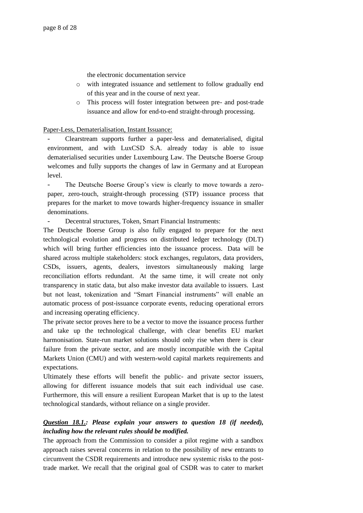the electronic documentation service

- o with integrated issuance and settlement to follow gradually end of this year and in the course of next year.
- o This process will foster integration between pre- and post-trade issuance and allow for end-to-end straight-through processing.

Paper-Less, Dematerialisation, Instant Issuance:

- Clearstream supports further a paper-less and dematerialised, digital environment, and with LuxCSD S.A. already today is able to issue dematerialised securities under Luxembourg Law. The Deutsche Boerse Group welcomes and fully supports the changes of law in Germany and at European level.

The Deutsche Boerse Group's view is clearly to move towards a zeropaper, zero-touch, straight-through processing (STP) issuance process that prepares for the market to move towards higher-frequency issuance in smaller denominations.

Decentral structures, Token, Smart Financial Instruments:

The Deutsche Boerse Group is also fully engaged to prepare for the next technological evolution and progress on distributed ledger technology (DLT) which will bring further efficiencies into the issuance process. Data will be shared across multiple stakeholders: stock exchanges, regulators, data providers, CSDs, issuers, agents, dealers, investors simultaneously making large reconciliation efforts redundant. At the same time, it will create not only transparency in static data, but also make investor data available to issuers. Last but not least, tokenization and "Smart Financial instruments" will enable an automatic process of post-issuance corporate events, reducing operational errors and increasing operating efficiency.

The private sector proves here to be a vector to move the issuance process further and take up the technological challenge, with clear benefits EU market harmonisation. State-run market solutions should only rise when there is clear failure from the private sector, and are mostly incompatible with the Capital Markets Union (CMU) and with western-wold capital markets requirements and expectations.

Ultimately these efforts will benefit the public- and private sector issuers, allowing for different issuance models that suit each individual use case. Furthermore, this will ensure a resilient European Market that is up to the latest technological standards, without reliance on a single provider.

# *Question 18.1.: Please explain your answers to question 18 (if needed), including how the relevant rules should be modified.*

The approach from the Commission to consider a pilot regime with a sandbox approach raises several concerns in relation to the possibility of new entrants to circumvent the CSDR requirements and introduce new systemic risks to the posttrade market. We recall that the original goal of CSDR was to cater to market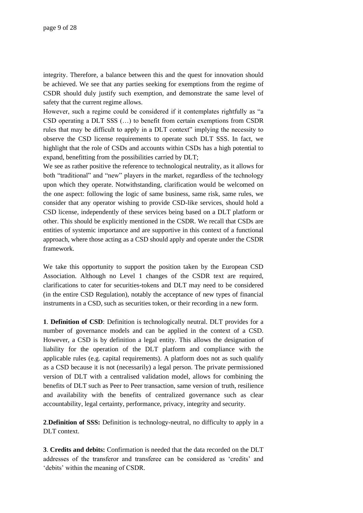integrity. Therefore, a balance between this and the quest for innovation should be achieved. We see that any parties seeking for exemptions from the regime of CSDR should duly justify such exemption, and demonstrate the same level of safety that the current regime allows.

However, such a regime could be considered if it contemplates rightfully as "a CSD operating a DLT SSS (…) to benefit from certain exemptions from CSDR rules that may be difficult to apply in a DLT context" implying the necessity to observe the CSD license requirements to operate such DLT SSS. In fact, we highlight that the role of CSDs and accounts within CSDs has a high potential to expand, benefitting from the possibilities carried by DLT;

We see as rather positive the reference to technological neutrality, as it allows for both "traditional" and "new" players in the market, regardless of the technology upon which they operate. Notwithstanding, clarification would be welcomed on the one aspect: following the logic of same business, same risk, same rules, we consider that any operator wishing to provide CSD-like services, should hold a CSD license, independently of these services being based on a DLT platform or other. This should be explicitly mentioned in the CSDR. We recall that CSDs are entities of systemic importance and are supportive in this context of a functional approach, where those acting as a CSD should apply and operate under the CSDR framework.

We take this opportunity to support the position taken by the European CSD Association. Although no Level 1 changes of the CSDR text are required, clarifications to cater for securities-tokens and DLT may need to be considered (in the entire CSD Regulation), notably the acceptance of new types of financial instruments in a CSD, such as securities token, or their recording in a new form.

**1**. **Definition of CSD**: Definition is technologically neutral. DLT provides for a number of governance models and can be applied in the context of a CSD. However, a CSD is by definition a legal entity. This allows the designation of liability for the operation of the DLT platform and compliance with the applicable rules (e.g. capital requirements). A platform does not as such qualify as a CSD because it is not (necessarily) a legal person. The private permissioned version of DLT with a centralised validation model, allows for combining the benefits of DLT such as Peer to Peer transaction, same version of truth, resilience and availability with the benefits of centralized governance such as clear accountability, legal certainty, performance, privacy, integrity and security.

**2**.**Definition of SSS:** Definition is technology-neutral, no difficulty to apply in a DLT context.

**3**. **Credits and debits:** Confirmation is needed that the data recorded on the DLT addresses of the transferor and transferee can be considered as 'credits' and 'debits' within the meaning of CSDR.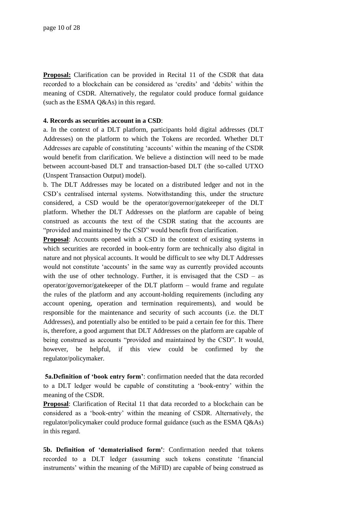**Proposal:** Clarification can be provided in Recital 11 of the CSDR that data recorded to a blockchain can be considered as 'credits' and 'debits' within the meaning of CSDR. Alternatively, the regulator could produce formal guidance (such as the ESMA Q&As) in this regard.

#### **4. Records as securities account in a CSD**:

a. In the context of a DLT platform, participants hold digital addresses (DLT Addresses) on the platform to which the Tokens are recorded. Whether DLT Addresses are capable of constituting 'accounts' within the meaning of the CSDR would benefit from clarification. We believe a distinction will need to be made between account-based DLT and transaction-based DLT (the so-called UTXO (Unspent Transaction Output) model).

b. The DLT Addresses may be located on a distributed ledger and not in the CSD's centralised internal systems. Notwithstanding this, under the structure considered, a CSD would be the operator/governor/gatekeeper of the DLT platform. Whether the DLT Addresses on the platform are capable of being construed as accounts the text of the CSDR stating that the accounts are "provided and maintained by the CSD" would benefit from clarification.

**Proposal**: Accounts opened with a CSD in the context of existing systems in which securities are recorded in book-entry form are technically also digital in nature and not physical accounts. It would be difficult to see why DLT Addresses would not constitute 'accounts' in the same way as currently provided accounts with the use of other technology. Further, it is envisaged that the  $CSD - as$ operator/governor/gatekeeper of the DLT platform – would frame and regulate the rules of the platform and any account-holding requirements (including any account opening, operation and termination requirements), and would be responsible for the maintenance and security of such accounts (i.e. the DLT Addresses), and potentially also be entitled to be paid a certain fee for this. There is, therefore, a good argument that DLT Addresses on the platform are capable of being construed as accounts "provided and maintained by the CSD". It would, however, be helpful, if this view could be confirmed by the regulator/policymaker.

**5a.Definition of 'book entry form'**: confirmation needed that the data recorded to a DLT ledger would be capable of constituting a 'book-entry' within the meaning of the CSDR.

**Proposal:** Clarification of Recital 11 that data recorded to a blockchain can be considered as a 'book-entry' within the meaning of CSDR. Alternatively, the regulator/policymaker could produce formal guidance (such as the ESMA Q&As) in this regard.

**5b. Definition of 'dematerialised form'**: Confirmation needed that tokens recorded to a DLT ledger (assuming such tokens constitute 'financial instruments' within the meaning of the MiFID) are capable of being construed as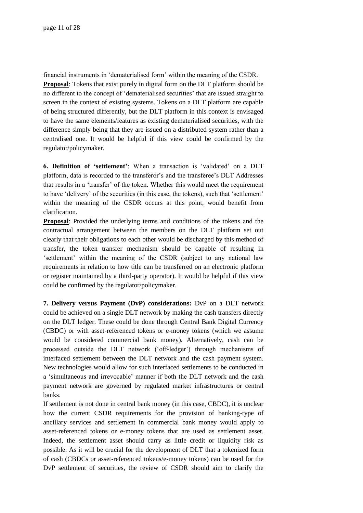financial instruments in 'dematerialised form' within the meaning of the CSDR. **Proposal**: Tokens that exist purely in digital form on the DLT platform should be no different to the concept of 'dematerialised securities' that are issued straight to screen in the context of existing systems. Tokens on a DLT platform are capable of being structured differently, but the DLT platform in this context is envisaged to have the same elements/features as existing dematerialised securities, with the difference simply being that they are issued on a distributed system rather than a centralised one. It would be helpful if this view could be confirmed by the regulator/policymaker.

**6. Definition of 'settlement'**: When a transaction is 'validated' on a DLT platform, data is recorded to the transferor's and the transferee's DLT Addresses that results in a 'transfer' of the token. Whether this would meet the requirement to have 'delivery' of the securities (in this case, the tokens), such that 'settlement' within the meaning of the CSDR occurs at this point, would benefit from clarification.

**Proposal**: Provided the underlying terms and conditions of the tokens and the contractual arrangement between the members on the DLT platform set out clearly that their obligations to each other would be discharged by this method of transfer, the token transfer mechanism should be capable of resulting in 'settlement' within the meaning of the CSDR (subject to any national law requirements in relation to how title can be transferred on an electronic platform or register maintained by a third-party operator). It would be helpful if this view could be confirmed by the regulator/policymaker.

**7. Delivery versus Payment (DvP) considerations:** DvP on a DLT network could be achieved on a single DLT network by making the cash transfers directly on the DLT ledger. These could be done through Central Bank Digital Currency (CBDC) or with asset-referenced tokens or e-money tokens (which we assume would be considered commercial bank money). Alternatively, cash can be processed outside the DLT network ('off-ledger') through mechanisms of interfaced settlement between the DLT network and the cash payment system. New technologies would allow for such interfaced settlements to be conducted in a 'simultaneous and irrevocable' manner if both the DLT network and the cash payment network are governed by regulated market infrastructures or central banks.

If settlement is not done in central bank money (in this case, CBDC), it is unclear how the current CSDR requirements for the provision of banking-type of ancillary services and settlement in commercial bank money would apply to asset-referenced tokens or e-money tokens that are used as settlement asset. Indeed, the settlement asset should carry as little credit or liquidity risk as possible. As it will be crucial for the development of DLT that a tokenized form of cash (CBDCs or asset-referenced tokens/e-money tokens) can be used for the DvP settlement of securities, the review of CSDR should aim to clarify the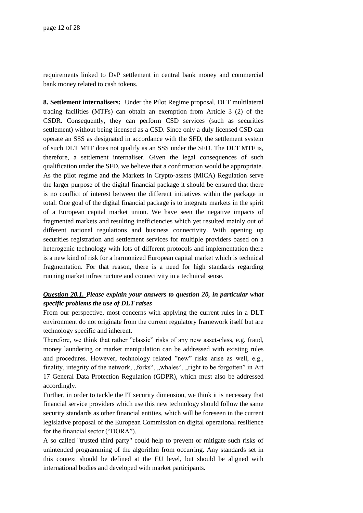requirements linked to DvP settlement in central bank money and commercial bank money related to cash tokens.

**8. Settlement internalisers:** Under the Pilot Regime proposal, DLT multilateral trading facilities (MTFs) can obtain an exemption from Article 3 (2) of the CSDR. Consequently, they can perform CSD services (such as securities settlement) without being licensed as a CSD. Since only a duly licensed CSD can operate an SSS as designated in accordance with the SFD, the settlement system of such DLT MTF does not qualify as an SSS under the SFD. The DLT MTF is, therefore, a settlement internaliser. Given the legal consequences of such qualification under the SFD, we believe that a confirmation would be appropriate. As the pilot regime and the Markets in Crypto-assets (MiCA) Regulation serve the larger purpose of the digital financial package it should be ensured that there is no conflict of interest between the different initiatives within the package in total. One goal of the digital financial package is to integrate markets in the spirit of a European capital market union. We have seen the negative impacts of fragmented markets and resulting inefficiencies which yet resulted mainly out of different national regulations and business connectivity. With opening up securities registration and settlement services for multiple providers based on a heterogenic technology with lots of different protocols and implementation there is a new kind of risk for a harmonized European capital market which is technical fragmentation. For that reason, there is a need for high standards regarding running market infrastructure and connectivity in a technical sense.

## *Question 20.1. Please explain your answers to question 20, in particular what specific problems the use of DLT raises*

From our perspective, most concerns with applying the current rules in a DLT environment do not originate from the current regulatory framework itself but are technology specific and inherent.

Therefore, we think that rather "classic" risks of any new asset-class, e.g. fraud, money laundering or market manipulation can be addressed with existing rules and procedures. However, technology related "new" risks arise as well, e.g., finality, integrity of the network, "forks", "whales", "right to be forgotten" in Art 17 General Data Protection Regulation (GDPR), which must also be addressed accordingly.

Further, in order to tackle the IT security dimension, we think it is necessary that financial service providers which use this new technology should follow the same security standards as other financial entities, which will be foreseen in the current legislative proposal of the European Commission on digital operational resilience for the financial sector ("DORA").

A so called "trusted third party" could help to prevent or mitigate such risks of unintended programming of the algorithm from occurring. Any standards set in this context should be defined at the EU level, but should be aligned with international bodies and developed with market participants.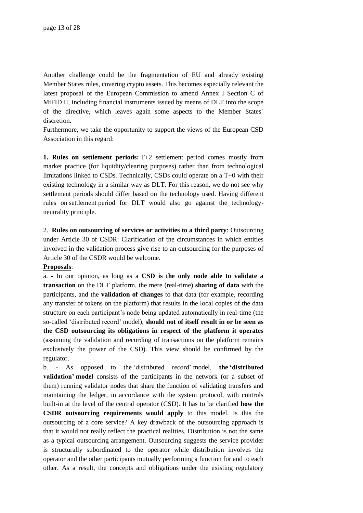Another challenge could be the fragmentation of EU and already existing Member States rules, covering crypto assets. This becomes especially relevant the latest proposal of the European Commission to amend Annex I Section C of MiFID II, including financial instruments issued by means of DLT into the scope of the directive, which leaves again some aspects to the Member States´ discretion.

Furthermore, we take the opportunity to support the views of the European CSD Association in this regard:

**1. Rules on settlement periods:** T+2 settlement period comes mostly from market practice (for liquidity/clearing purposes) rather than from technological limitations linked to CSDs. Technically, CSDs could operate on a T+0 with their existing technology in a similar way as DLT. For this reason, we do not see why settlement periods should differ based on the technology used. Having different rules on settlement period for DLT would also go against the technologyneutrality principle.

2. **Rules on outsourcing of services or activities to a third party**: Outsourcing under Article 30 of CSDR: Clarification of the circumstances in which entities involved in the validation process give rise to an outsourcing for the purposes of Article 30 of the CSDR would be welcome.

#### **Proposals**:

a. - In our opinion, as long as a **CSD is the only node able to validate a transaction** on the DLT platform, the mere (real-time**) sharing of data** with the participants, and the **validation of changes** to that data (for example, recording any transfer of tokens on the platform) that results in the local copies of the data structure on each participant's node being updated automatically in real-time (the so-called 'distributed record' model), **should not of itself result in or be seen as the CSD outsourcing its obligations in respect of the platform it operates** (assuming the validation and recording of transactions on the platform remains exclusively the power of the CSD). This view should be confirmed by the regulator.

b. - As opposed to the 'distributed record' model, **the 'distributed validation' model** consists of the participants in the network (or a subset of them) running validator nodes that share the function of validating transfers and maintaining the ledger, in accordance with the system protocol, with controls built-in at the level of the central operator (CSD). It has to be clarified **how the CSDR outsourcing requirements would apply** to this model. Is this the outsourcing of a core service? A key drawback of the outsourcing approach is that it would not really reflect the practical realities. Distribution is not the same as a typical outsourcing arrangement. Outsourcing suggests the service provider is structurally subordinated to the operator while distribution involves the operator and the other participants mutually performing a function for and to each other. As a result, the concepts and obligations under the existing regulatory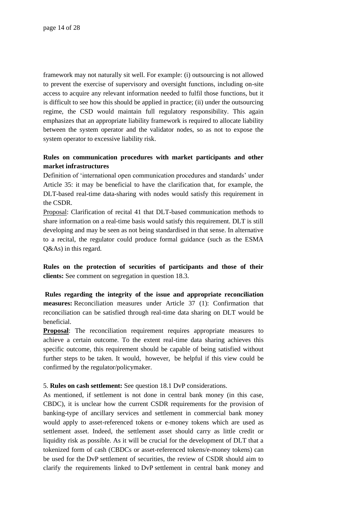framework may not naturally sit well. For example: (i) outsourcing is not allowed to prevent the exercise of supervisory and oversight functions, including on-site access to acquire any relevant information needed to fulfil those functions, but it is difficult to see how this should be applied in practice; (ii) under the outsourcing regime, the CSD would maintain full regulatory responsibility. This again emphasizes that an appropriate liability framework is required to allocate liability between the system operator and the validator nodes, so as not to expose the system operator to excessive liability risk.

## **Rules on communication procedures with market participants and other market infrastructures**

Definition of 'international open communication procedures and standards' under Article 35: it may be beneficial to have the clarification that, for example, the DLT-based real-time data-sharing with nodes would satisfy this requirement in the CSDR.

Proposal: Clarification of recital 41 that DLT-based communication methods to share information on a real-time basis would satisfy this requirement. DLT is still developing and may be seen as not being standardised in that sense. In alternative to a recital, the regulator could produce formal guidance (such as the ESMA Q&As) in this regard.

**Rules on the protection of securities of participants and those of their clients:** See comment on segregation in question 18.3.

**Rules regarding the integrity of the issue and appropriate reconciliation measures:** Reconciliation measures under Article 37 (1): Confirmation that reconciliation can be satisfied through real-time data sharing on DLT would be beneficial.

**Proposal:** The reconciliation requirement requires appropriate measures to achieve a certain outcome. To the extent real-time data sharing achieves this specific outcome, this requirement should be capable of being satisfied without further steps to be taken. It would, however, be helpful if this view could be confirmed by the regulator/policymaker.

#### 5. **Rules on cash settlement:** See question 18.1 DvP considerations.

As mentioned, if settlement is not done in central bank money (in this case, CBDC), it is unclear how the current CSDR requirements for the provision of banking-type of ancillary services and settlement in commercial bank money would apply to asset-referenced tokens or e-money tokens which are used as settlement asset. Indeed, the settlement asset should carry as little credit or liquidity risk as possible. As it will be crucial for the development of DLT that a tokenized form of cash (CBDCs or asset-referenced tokens/e-money tokens) can be used for the DvP settlement of securities, the review of CSDR should aim to clarify the requirements linked to DvP settlement in central bank money and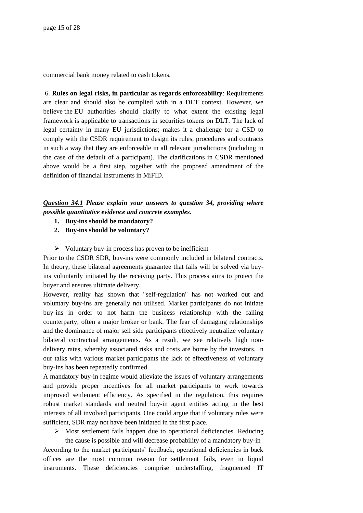commercial bank money related to cash tokens.

6. **Rules on legal risks, in particular as regards enforceability**: Requirements are clear and should also be complied with in a DLT context. However, we believe the EU authorities should clarify to what extent the existing legal framework is applicable to transactions in securities tokens on DLT. The lack of legal certainty in many EU jurisdictions; makes it a challenge for a CSD to comply with the CSDR requirement to design its rules, procedures and contracts in such a way that they are enforceable in all relevant jurisdictions (including in the case of the default of a participant). The clarifications in CSDR mentioned above would be a first step, together with the proposed amendment of the definition of financial instruments in MiFID.

## *Question 34.1 Please explain your answers to question 34, providing where possible quantitative evidence and concrete examples.*

- **1. Buy-ins should be mandatory?**
- **2. Buy-ins should be voluntary?**
- ➢ Voluntary buy-in process has proven to be inefficient

Prior to the CSDR SDR, buy-ins were commonly included in bilateral contracts. In theory, these bilateral agreements guarantee that fails will be solved via buyins voluntarily initiated by the receiving party. This process aims to protect the buyer and ensures ultimate delivery.

However, reality has shown that "self-regulation" has not worked out and voluntary buy-ins are generally not utilised. Market participants do not initiate buy-ins in order to not harm the business relationship with the failing counterparty, often a major broker or bank. The fear of damaging relationships and the dominance of major sell side participants effectively neutralize voluntary bilateral contractual arrangements. As a result, we see relatively high nondelivery rates, whereby associated risks and costs are borne by the investors. In our talks with various market participants the lack of effectiveness of voluntary buy-ins has been repeatedly confirmed.

A mandatory buy-in regime would alleviate the issues of voluntary arrangements and provide proper incentives for all market participants to work towards improved settlement efficiency. As specified in the regulation, this requires robust market standards and neutral buy-in agent entities acting in the best interests of all involved participants. One could argue that if voluntary rules were sufficient, SDR may not have been initiated in the first place.

 $\triangleright$  Most settlement fails happen due to operational deficiencies. Reducing

the cause is possible and will decrease probability of a mandatory buy-in According to the market participants' feedback, operational deficiencies in back offices are the most common reason for settlement fails, even in liquid instruments. These deficiencies comprise understaffing, fragmented IT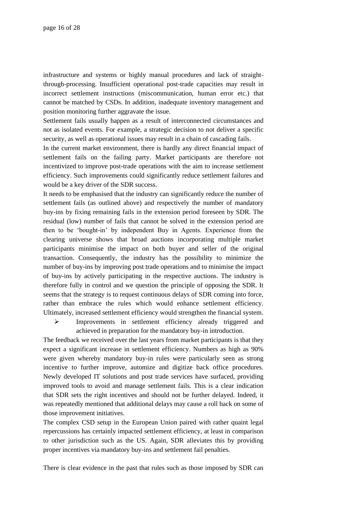infrastructure and systems or highly manual procedures and lack of straightthrough-processing. Insufficient operational post-trade capacities may result in incorrect settlement instructions (miscommunication, human error etc.) that cannot be matched by CSDs. In addition, inadequate inventory management and position monitoring further aggravate the issue.

Settlement fails usually happen as a result of interconnected circumstances and not as isolated events. For example, a strategic decision to not deliver a specific security, as well as operational issues may result in a chain of cascading fails.

In the current market environment, there is hardly any direct financial impact of settlement fails on the failing party. Market participants are therefore not incentivized to improve post-trade operations with the aim to increase settlement efficiency. Such improvements could significantly reduce settlement failures and would be a key driver of the SDR success.

It needs to be emphasised that the industry can significantly reduce the number of settlement fails (as outlined above) and respectively the number of mandatory buy-ins by fixing remaining fails in the extension period foreseen by SDR. The residual (low) number of fails that cannot be solved in the extension period are then to be 'bought-in' by independent Buy in Agents. Experience from the clearing universe shows that broad auctions incorporating multiple market participants minimise the impact on both buyer and seller of the original transaction. Consequently, the industry has the possibility to minimize the number of buy-ins by improving post trade operations and to minimise the impact of buy-ins by actively participating in the respective auctions. The industry is therefore fully in control and we question the principle of opposing the SDR. It seems that the strategy is to request continuous delays of SDR coming into force, rather than embrace the rules which would enhance settlement efficiency. Ultimately, increased settlement efficiency would strengthen the financial system.

➢ Improvements in settlement efficiency already triggered and achieved in preparation for the mandatory buy-in introduction.

The feedback we received over the last years from market participants is that they expect a significant increase in settlement efficiency. Numbers as high as 90% were given whereby mandatory buy-in rules were particularly seen as strong incentive to further improve, automize and digitize back office procedures. Newly developed IT solutions and post trade services have surfaced, providing improved tools to avoid and manage settlement fails. This is a clear indication that SDR sets the right incentives and should not be further delayed. Indeed, it was repeatedly mentioned that additional delays may cause a roll back on some of those improvement initiatives.

The complex CSD setup in the European Union paired with rather quaint legal repercussions has certainly impacted settlement efficiency, at least in comparison to other jurisdiction such as the US. Again, SDR alleviates this by providing proper incentives via mandatory buy-ins and settlement fail penalties.

There is clear evidence in the past that rules such as those imposed by SDR can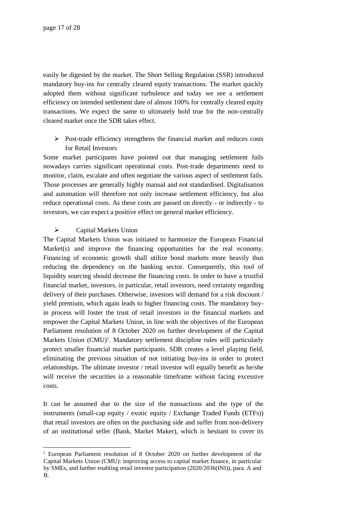easily be digested by the market. The Short Selling Regulation (SSR) introduced mandatory buy-ins for centrally cleared equity transactions. The market quickly adopted them without significant turbulence and today we see a settlement efficiency on intended settlement date of almost 100% for centrally cleared equity transactions. We expect the same to ultimately hold true for the non-centrally cleared market once the SDR takes effect.

➢ Post-trade efficiency strengthens the financial market and reduces costs for Retail Investors

Some market participants have pointed out that managing settlement fails nowadays carries significant operational costs. Post-trade departments need to monitor, claim, escalate and often negotiate the various aspect of settlement fails. Those processes are generally highly manual and not standardised. Digitalisation and automation will therefore not only increase settlement efficiency, but also reduce operational costs. As these costs are passed on directly - or indirectly - to investors, we can expect a positive effect on general market efficiency.

### ➢ Capital Markets Union

The Capital Markets Union was initiated to harmonize the European Financial Market(s) and improve the financing opportunities for the real economy. Financing of economic growth shall utilize bond markets more heavily thus reducing the dependency on the banking sector. Consequently, this tool of liquidity sourcing should decrease the financing costs. In order to have a trustful financial market, investors, in particular, retail investors, need certainty regarding delivery of their purchases. Otherwise, investors will demand for a risk discount / yield premium, which again leads to higher financing costs. The mandatory buyin process will foster the trust of retail investors in the financial markets and empower the Capital Markets Union, in line with the objectives of the European Parliament resolution of 8 October 2020 on further development of the Capital Markets Union (CMU)<sup>1</sup>. Mandatory settlement discipline rules will particularly protect smaller financial market participants. SDR creates a level playing field, eliminating the previous situation of not initiating buy-ins in order to protect relationships. The ultimate investor / retail investor will equally benefit as he/she will receive the securities in a reasonable timeframe without facing excessive costs.

It can be assumed due to the size of the transactions and the type of the instruments (small-cap equity / exotic equity / Exchange Traded Funds (ETFs)) that retail investors are often on the purchasing side and suffer from non-delivery of an institutional seller (Bank, Market Maker), which is hesitant to cover its

<sup>&</sup>lt;sup>1</sup> European Parliament resolution of 8 October 2020 on further development of the Capital Markets Union (CMU): improving access to capital market finance, in particular by SMEs, and further enabling retail investor participation (2020/2036(INI)), para. A and B.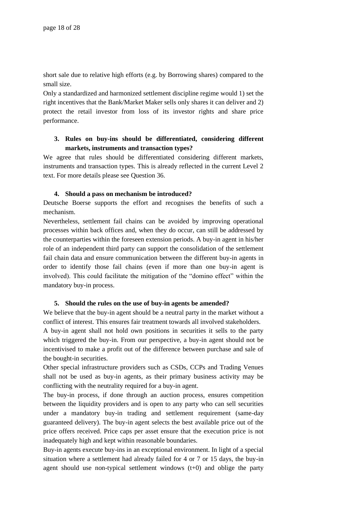short sale due to relative high efforts (e.g. by Borrowing shares) compared to the small size.

Only a standardized and harmonized settlement discipline regime would 1) set the right incentives that the Bank/Market Maker sells only shares it can deliver and 2) protect the retail investor from loss of its investor rights and share price performance.

## **3. Rules on buy-ins should be differentiated, considering different markets, instruments and transaction types?**

We agree that rules should be differentiated considering different markets, instruments and transaction types. This is already reflected in the current Level 2 text. For more details please see Question 36.

### **4. Should a pass on mechanism be introduced?**

Deutsche Boerse supports the effort and recognises the benefits of such a mechanism.

Nevertheless, settlement fail chains can be avoided by improving operational processes within back offices and, when they do occur, can still be addressed by the counterparties within the foreseen extension periods. A buy-in agent in his/her role of an independent third party can support the consolidation of the settlement fail chain data and ensure communication between the different buy-in agents in order to identify those fail chains (even if more than one buy-in agent is involved). This could facilitate the mitigation of the "domino effect" within the mandatory buy-in process.

#### **5. Should the rules on the use of buy-in agents be amended?**

We believe that the buy-in agent should be a neutral party in the market without a conflict of interest. This ensures fair treatment towards all involved stakeholders.

A buy-in agent shall not hold own positions in securities it sells to the party which triggered the buy-in. From our perspective, a buy-in agent should not be incentivised to make a profit out of the difference between purchase and sale of the bought-in securities.

Other special infrastructure providers such as CSDs, CCPs and Trading Venues shall not be used as buy-in agents, as their primary business activity may be conflicting with the neutrality required for a buy-in agent.

The buy-in process, if done through an auction process, ensures competition between the liquidity providers and is open to any party who can sell securities under a mandatory buy-in trading and settlement requirement (same-day guaranteed delivery). The buy-in agent selects the best available price out of the price offers received. Price caps per asset ensure that the execution price is not inadequately high and kept within reasonable boundaries.

Buy-in agents execute buy-ins in an exceptional environment. In light of a special situation where a settlement had already failed for 4 or 7 or 15 days, the buy-in agent should use non-typical settlement windows  $(t+0)$  and oblige the party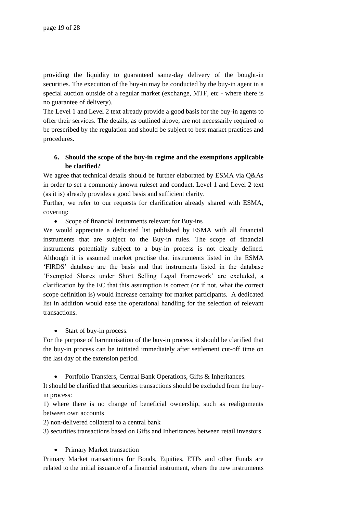providing the liquidity to guaranteed same-day delivery of the bought-in securities. The execution of the buy-in may be conducted by the buy-in agent in a special auction outside of a regular market (exchange, MTF, etc - where there is no guarantee of delivery).

The Level 1 and Level 2 text already provide a good basis for the buy-in agents to offer their services. The details, as outlined above, are not necessarily required to be prescribed by the regulation and should be subject to best market practices and procedures.

## **6. Should the scope of the buy-in regime and the exemptions applicable be clarified?**

We agree that technical details should be further elaborated by ESMA via Q&As in order to set a commonly known ruleset and conduct. Level 1 and Level 2 text (as it is) already provides a good basis and sufficient clarity.

Further, we refer to our requests for clarification already shared with ESMA, covering:

• Scope of financial instruments relevant for Buy-ins

We would appreciate a dedicated list published by ESMA with all financial instruments that are subject to the Buy-in rules. The scope of financial instruments potentially subject to a buy-in process is not clearly defined. Although it is assumed market practise that instruments listed in the ESMA 'FIRDS' database are the basis and that instruments listed in the database 'Exempted Shares under Short Selling Legal Framework' are excluded, a clarification by the EC that this assumption is correct (or if not, what the correct scope definition is) would increase certainty for market participants. A dedicated list in addition would ease the operational handling for the selection of relevant transactions.

• Start of buy-in process.

For the purpose of harmonisation of the buy-in process, it should be clarified that the buy-in process can be initiated immediately after settlement cut-off time on the last day of the extension period.

• Portfolio Transfers, Central Bank Operations, Gifts & Inheritances.

It should be clarified that securities transactions should be excluded from the buyin process:

1) where there is no change of beneficial ownership, such as realignments between own accounts

2) non-delivered collateral to a central bank

3) securities transactions based on Gifts and Inheritances between retail investors

• Primary Market transaction

Primary Market transactions for Bonds, Equities, ETFs and other Funds are related to the initial issuance of a financial instrument, where the new instruments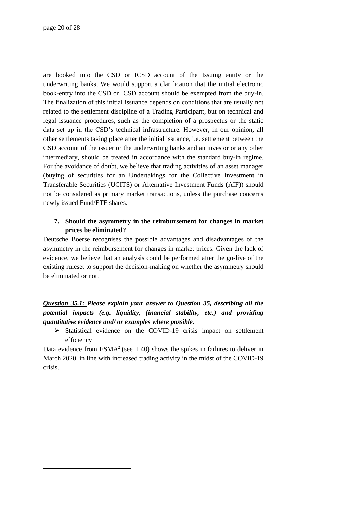are booked into the CSD or ICSD account of the Issuing entity or the underwriting banks. We would support a clarification that the initial electronic book-entry into the CSD or ICSD account should be exempted from the buy-in. The finalization of this initial issuance depends on conditions that are usually not related to the settlement discipline of a Trading Participant, but on technical and legal issuance procedures, such as the completion of a prospectus or the static data set up in the CSD's technical infrastructure. However, in our opinion, all other settlements taking place after the initial issuance, i.e. settlement between the CSD account of the issuer or the underwriting banks and an investor or any other intermediary, should be treated in accordance with the standard buy-in regime. For the avoidance of doubt, we believe that trading activities of an asset manager (buying of securities for an Undertakings for the Collective Investment in Transferable Securities (UCITS) or Alternative Investment Funds (AIF)) should not be considered as primary market transactions, unless the purchase concerns newly issued Fund/ETF shares.

## **7. Should the asymmetry in the reimbursement for changes in market prices be eliminated?**

Deutsche Boerse recognises the possible advantages and disadvantages of the asymmetry in the reimbursement for changes in market prices. Given the lack of evidence, we believe that an analysis could be performed after the go-live of the existing ruleset to support the decision-making on whether the asymmetry should be eliminated or not.

*Question 35.1: Please explain your answer to Question 35, describing all the potential impacts (e.g. liquidity, financial stability, etc.) and providing quantitative evidence and/ or examples where possible.* 

➢ Statistical evidence on the COVID-19 crisis impact on settlement efficiency

Data evidence from  $ESMA<sup>2</sup>$  (see T.40) shows the spikes in failures to deliver in March 2020, in line with increased trading activity in the midst of the COVID-19 crisis.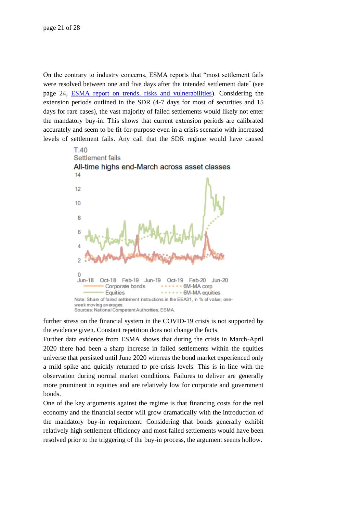On the contrary to industry concerns, ESMA reports that "most settlement fails were resolved between one and five days after the intended settlement date" (see page 24, [ESMA report on trends, risks and vulnerabilities\)](https://www.esma.europa.eu/sites/default/files/library/esma_50-165-1287_report_on_trends_risks_and_vulnerabilities_no.2_2020.pdf). Considering the extension periods outlined in the SDR (4-7 days for most of securities and 15 days for rare cases), the vast majority of failed settlements would likely not enter the mandatory buy-in. This shows that current extension periods are calibrated accurately and seem to be fit-for-purpose even in a crisis scenario with increased levels of settlement fails. Any call that the SDR regime would have caused



further stress on the financial system in the COVID-19 crisis is not supported by the evidence given. Constant repetition does not change the facts.

Further data evidence from ESMA shows that during the crisis in March-April 2020 there had been a sharp increase in failed settlements within the equities universe that persisted until June 2020 whereas the bond market experienced only a mild spike and quickly returned to pre-crisis levels. This is in line with the observation during normal market conditions. Failures to deliver are generally more prominent in equities and are relatively low for corporate and government bonds.

One of the key arguments against the regime is that financing costs for the real economy and the financial sector will grow dramatically with the introduction of the mandatory buy-in requirement. Considering that bonds generally exhibit relatively high settlement efficiency and most failed settlements would have been resolved prior to the triggering of the buy-in process, the argument seems hollow.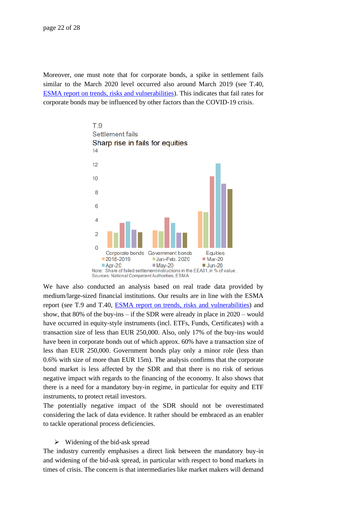Moreover, one must note that for corporate bonds, a spike in settlement fails similar to the March 2020 level occurred also around March 2019 (see T.40, [ESMA report on trends, risks and vulnerabilities\)](https://www.esma.europa.eu/sites/default/files/library/esma_50-165-1287_report_on_trends_risks_and_vulnerabilities_no.2_2020.pdf). This indicates that fail rates for corporate bonds may be influenced by other factors than the COVID-19 crisis.



We have also conducted an analysis based on real trade data provided by medium/large-sized financial institutions. Our results are in line with the ESMA report (see T.9 and T.40, [ESMA report on trends, risks and vulnerabilities\)](https://www.esma.europa.eu/sites/default/files/library/esma_50-165-1287_report_on_trends_risks_and_vulnerabilities_no.2_2020.pdf) and show, that 80% of the buy-ins – if the SDR were already in place in 2020 – would have occurred in equity-style instruments (incl. ETFs, Funds, Certificates) with a transaction size of less than EUR 250,000. Also, only 17% of the buy-ins would have been in corporate bonds out of which approx. 60% have a transaction size of less than EUR 250,000. Government bonds play only a minor role (less than 0.6% with size of more than EUR 15m). The analysis confirms that the corporate bond market is less affected by the SDR and that there is no risk of serious negative impact with regards to the financing of the economy. It also shows that there is a need for a mandatory buy-in regime, in particular for equity and ETF instruments, to protect retail investors.

The potentially negative impact of the SDR should not be overestimated considering the lack of data evidence. It rather should be embraced as an enabler to tackle operational process deficiencies.

#### $\triangleright$  Widening of the bid-ask spread

The industry currently emphasises a direct link between the mandatory buy-in and widening of the bid-ask spread, in particular with respect to bond markets in times of crisis. The concern is that intermediaries like market makers will demand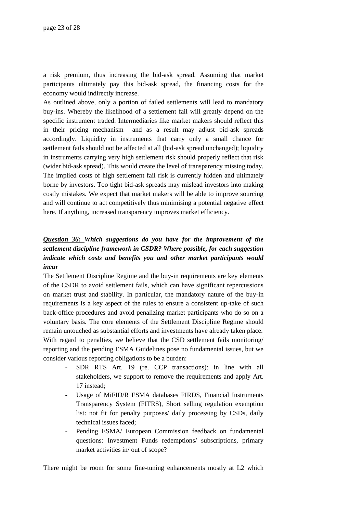a risk premium, thus increasing the bid-ask spread. Assuming that market participants ultimately pay this bid-ask spread, the financing costs for the economy would indirectly increase.

As outlined above, only a portion of failed settlements will lead to mandatory buy-ins. Whereby the likelihood of a settlement fail will greatly depend on the specific instrument traded. Intermediaries like market makers should reflect this in their pricing mechanism and as a result may adjust bid-ask spreads accordingly. Liquidity in instruments that carry only a small chance for settlement fails should not be affected at all (bid-ask spread unchanged); liquidity in instruments carrying very high settlement risk should properly reflect that risk (wider bid-ask spread). This would create the level of transparency missing today. The implied costs of high settlement fail risk is currently hidden and ultimately borne by investors. Too tight bid-ask spreads may mislead investors into making costly mistakes. We expect that market makers will be able to improve sourcing and will continue to act competitively thus minimising a potential negative effect here. If anything, increased transparency improves market efficiency.

# *Question 36: Which suggestions do you have for the improvement of the settlement discipline framework in CSDR? Where possible, for each suggestion indicate which costs and benefits you and other market participants would incur*

The Settlement Discipline Regime and the buy-in requirements are key elements of the CSDR to avoid settlement fails, which can have significant repercussions on market trust and stability. In particular, the mandatory nature of the buy-in requirements is a key aspect of the rules to ensure a consistent up-take of such back-office procedures and avoid penalizing market participants who do so on a voluntary basis. The core elements of the Settlement Discipline Regime should remain untouched as substantial efforts and investments have already taken place. With regard to penalties, we believe that the CSD settlement fails monitoring/ reporting and the pending ESMA Guidelines pose no fundamental issues, but we consider various reporting obligations to be a burden:

- SDR RTS Art. 19 (re. CCP transactions): in line with all stakeholders, we support to remove the requirements and apply Art. 17 instead;
- Usage of MiFID/R ESMA databases FIRDS, Financial Instruments Transparency System (FITRS), Short selling regulation exemption list: not fit for penalty purposes/ daily processing by CSDs, daily technical issues faced;
- Pending ESMA/ European Commission feedback on fundamental questions: Investment Funds redemptions/ subscriptions, primary market activities in/ out of scope?

There might be room for some fine-tuning enhancements mostly at L2 which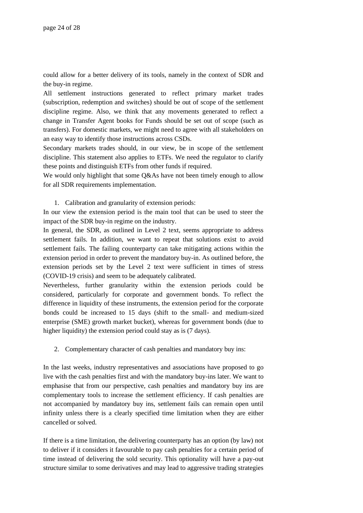could allow for a better delivery of its tools, namely in the context of SDR and the buy-in regime.

All settlement instructions generated to reflect primary market trades (subscription, redemption and switches) should be out of scope of the settlement discipline regime. Also, we think that any movements generated to reflect a change in Transfer Agent books for Funds should be set out of scope (such as transfers). For domestic markets, we might need to agree with all stakeholders on an easy way to identify those instructions across CSDs.

Secondary markets trades should, in our view, be in scope of the settlement discipline. This statement also applies to ETFs. We need the regulator to clarify these points and distinguish ETFs from other funds if required.

We would only highlight that some Q&As have not been timely enough to allow for all SDR requirements implementation.

1. Calibration and granularity of extension periods:

In our view the extension period is the main tool that can be used to steer the impact of the SDR buy-in regime on the industry.

In general, the SDR, as outlined in Level 2 text, seems appropriate to address settlement fails. In addition, we want to repeat that solutions exist to avoid settlement fails. The failing counterparty can take mitigating actions within the extension period in order to prevent the mandatory buy-in. As outlined before, the extension periods set by the Level 2 text were sufficient in times of stress (COVID-19 crisis) and seem to be adequately calibrated.

Nevertheless, further granularity within the extension periods could be considered, particularly for corporate and government bonds. To reflect the difference in liquidity of these instruments, the extension period for the corporate bonds could be increased to 15 days (shift to the small- and medium-sized enterprise (SME) growth market bucket), whereas for government bonds (due to higher liquidity) the extension period could stay as is (7 days).

2. Complementary character of cash penalties and mandatory buy ins:

In the last weeks, industry representatives and associations have proposed to go live with the cash penalties first and with the mandatory buy-ins later. We want to emphasise that from our perspective, cash penalties and mandatory buy ins are complementary tools to increase the settlement efficiency. If cash penalties are not accompanied by mandatory buy ins, settlement fails can remain open until infinity unless there is a clearly specified time limitation when they are either cancelled or solved.

If there is a time limitation, the delivering counterparty has an option (by law) not to deliver if it considers it favourable to pay cash penalties for a certain period of time instead of delivering the sold security. This optionality will have a pay-out structure similar to some derivatives and may lead to aggressive trading strategies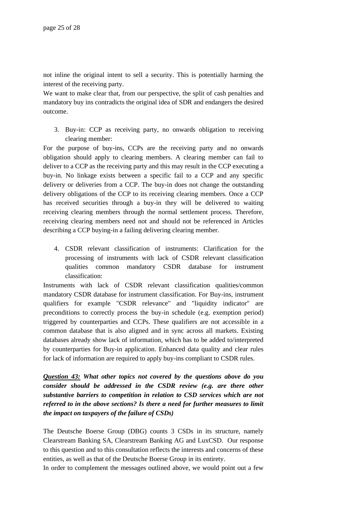not inline the original intent to sell a security. This is potentially harming the interest of the receiving party.

We want to make clear that, from our perspective, the split of cash penalties and mandatory buy ins contradicts the original idea of SDR and endangers the desired outcome.

3. Buy-in: CCP as receiving party, no onwards obligation to receiving clearing member:

For the purpose of buy-ins, CCPs are the receiving party and no onwards obligation should apply to clearing members. A clearing member can fail to deliver to a CCP as the receiving party and this may result in the CCP executing a buy-in. No linkage exists between a specific fail to a CCP and any specific delivery or deliveries from a CCP. The buy-in does not change the outstanding delivery obligations of the CCP to its receiving clearing members. Once a CCP has received securities through a buy-in they will be delivered to waiting receiving clearing members through the normal settlement process. Therefore, receiving clearing members need not and should not be referenced in Articles describing a CCP buying-in a failing delivering clearing member.

4. CSDR relevant classification of instruments: Clarification for the processing of instruments with lack of CSDR relevant classification qualities common mandatory CSDR database for instrument classification:

Instruments with lack of CSDR relevant classification qualities/common mandatory CSDR database for instrument classification. For Buy-ins, instrument qualifiers for example "CSDR relevance" and "liquidity indicator" are preconditions to correctly process the buy-in schedule (e.g. exemption period) triggered by counterparties and CCPs. These qualifiers are not accessible in a common database that is also aligned and in sync across all markets. Existing databases already show lack of information, which has to be added to/interpreted by counterparties for Buy-in application. Enhanced data quality and clear rules for lack of information are required to apply buy-ins compliant to CSDR rules.

*Question 43: What other topics not covered by the questions above do you consider should be addressed in the CSDR review (e.g. are there other substantive barriers to competition in relation to CSD services which are not referred to in the above sections? Is there a need for further measures to limit the impact on taxpayers of the failure of CSDs)*

The Deutsche Boerse Group (DBG) counts 3 CSDs in its structure, namely Clearstream Banking SA, Clearstream Banking AG and LuxCSD. Our response to this question and to this consultation reflects the interests and concerns of these entities, as well as that of the Deutsche Boerse Group in its entirety.

In order to complement the messages outlined above, we would point out a few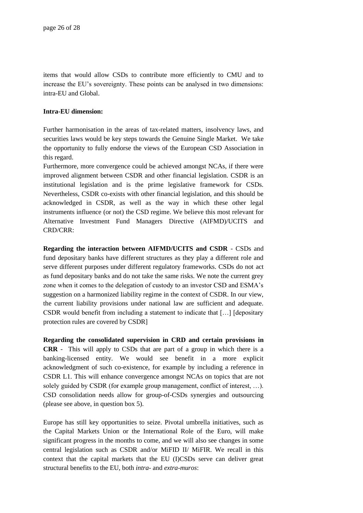items that would allow CSDs to contribute more efficiently to CMU and to increase the EU's sovereignty. These points can be analysed in two dimensions: intra-EU and Global.

#### **Intra-EU dimension:**

Further harmonisation in the areas of tax-related matters, insolvency laws, and securities laws would be key steps towards the Genuine Single Market. We take the opportunity to fully endorse the views of the European CSD Association in this regard.

Furthermore, more convergence could be achieved amongst NCAs, if there were improved alignment between CSDR and other financial legislation. CSDR is an institutional legislation and is the prime legislative framework for CSDs. Nevertheless, CSDR co-exists with other financial legislation, and this should be acknowledged in CSDR, as well as the way in which these other legal instruments influence (or not) the CSD regime. We believe this most relevant for Alternative Investment Fund Managers Directive (AIFMD)/UCITS and CRD/CRR:

**Regarding the interaction between AIFMD/UCITS and CSDR** - CSDs and fund depositary banks have different structures as they play a different role and serve different purposes under different regulatory frameworks. CSDs do not act as fund depositary banks and do not take the same risks. We note the current grey zone when it comes to the delegation of custody to an investor CSD and ESMA's suggestion on a harmonized liability regime in the context of CSDR. In our view, the current liability provisions under national law are sufficient and adequate. CSDR would benefit from including a statement to indicate that […] [depositary protection rules are covered by CSDR]

**Regarding the consolidated supervision in CRD and certain provisions in CRR** - This will apply to CSDs that are part of a group in which there is a banking-licensed entity. We would see benefit in a more explicit acknowledgment of such co-existence, for example by including a reference in CSDR L1. This will enhance convergence amongst NCAs on topics that are not solely guided by CSDR (for example group management, conflict of interest, …). CSD consolidation needs allow for group-of-CSDs synergies and outsourcing (please see above, in question box 5).

Europe has still key opportunities to seize. Pivotal umbrella initiatives, such as the Capital Markets Union or the International Role of the Euro, will make significant progress in the months to come, and we will also see changes in some central legislation such as CSDR and/or MiFID II/ MiFIR. We recall in this context that the capital markets that the EU (I)CSDs serve can deliver great structural benefits to the EU, both *intra*- and *extra-muros*: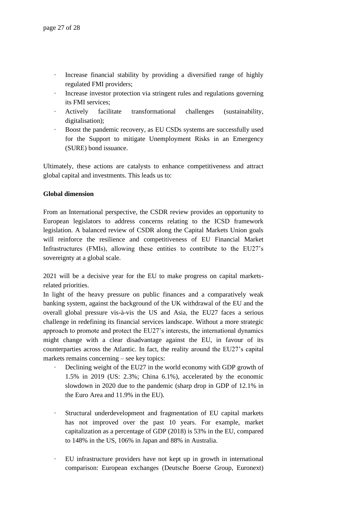- Increase financial stability by providing a diversified range of highly regulated FMI providers;
- · Increase investor protection via stringent rules and regulations governing its FMI services;
- · Actively facilitate transformational challenges (sustainability, digitalisation);
- Boost the pandemic recovery, as EU CSDs systems are successfully used for the Support to mitigate Unemployment Risks in an Emergency (SURE) bond issuance.

Ultimately, these actions are catalysts to enhance competitiveness and attract global capital and investments. This leads us to:

### **Global dimension**

From an International perspective, the CSDR review provides an opportunity to European legislators to address concerns relating to the ICSD framework legislation. A balanced review of CSDR along the Capital Markets Union goals will reinforce the resilience and competitiveness of EU Financial Market Infrastructures (FMIs), allowing these entities to contribute to the EU27's sovereignty at a global scale.

2021 will be a decisive year for the EU to make progress on capital marketsrelated priorities.

In light of the heavy pressure on public finances and a comparatively weak banking system, against the background of the UK withdrawal of the EU and the overall global pressure vis-à-vis the US and Asia, the EU27 faces a serious challenge in redefining its financial services landscape. Without a more strategic approach to promote and protect the EU27's interests, the international dynamics might change with a clear disadvantage against the EU, in favour of its counterparties across the Atlantic. In fact, the reality around the EU27's capital markets remains concerning – see key topics:

- Declining weight of the EU27 in the world economy with GDP growth of 1.5% in 2019 (US: 2.3%; China 6.1%), accelerated by the economic slowdown in 2020 due to the pandemic (sharp drop in GDP of 12.1% in the Euro Area and 11.9% in the EU).
- · Structural underdevelopment and fragmentation of EU capital markets has not improved over the past 10 years. For example, market capitalization as a percentage of GDP (2018) is 53% in the EU, compared to 148% in the US, 106% in Japan and 88% in Australia.
- · EU infrastructure providers have not kept up in growth in international comparison: European exchanges (Deutsche Boerse Group, Euronext)